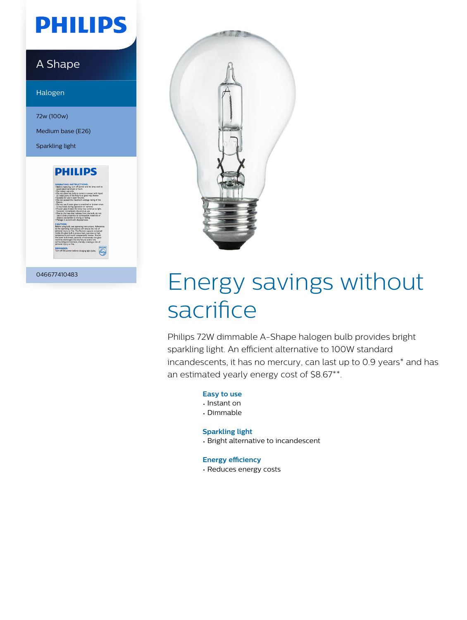# **PHILIPS**

### A Shape

Halogen

72w (100w)

Medium base (E26)

Sparkling light



046677410483



# Energy savings without sacrifice

Philips 72W dimmable A-Shape halogen bulb provides bright sparkling light. An efficient alternative to 100W standard incandescents, it has no mercury, can last up to 0.9 years\* and has an estimated yearly energy cost of \$8.67\*\*.

#### **Easy to use**

- Instant on
- Dimmable

### **Sparkling light**

• Bright alternative to incandescent

#### **Energy efficiency**

• Reduces energy costs